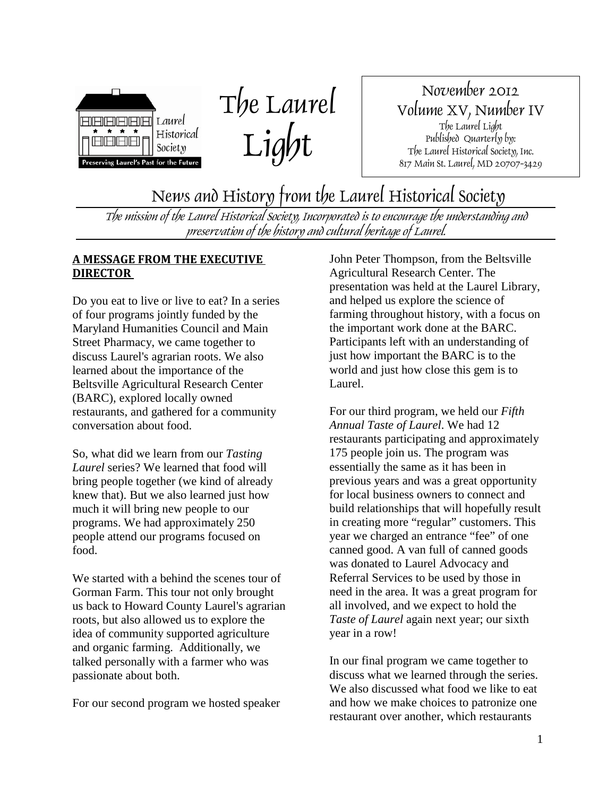

The Laurel Light

November 2012 Volume XV, Number IV The Laurel Light Published Quarterly by: The Laurel Historical Society, Inc. 817 Main St. Laurel, MD 20707-3429

News and History from the Laurel Historical Society

The mission of the Laurel Historical Society, Incorporated is to encourage the understanding and preservation of the history and cultural heritage of Laurel.

### **A MESSAGE FROM THE EXECUTIVE DIRECTOR**

Do you eat to live or live to eat? In a series of four programs jointly funded by the Maryland Humanities Council and Main Street Pharmacy, we came together to discuss Laurel's agrarian roots. We also learned about the importance of the Beltsville Agricultural Research Center (BARC), explored locally owned restaurants, and gathered for a community conversation about food.

So, what did we learn from our *Tasting Laurel* series? We learned that food will bring people together (we kind of already knew that). But we also learned just how much it will bring new people to our programs. We had approximately 250 people attend our programs focused on food.

We started with a behind the scenes tour of Gorman Farm. This tour not only brought us back to Howard County Laurel's agrarian roots, but also allowed us to explore the idea of community supported agriculture and organic farming. Additionally, we talked personally with a farmer who was passionate about both.

For our second program we hosted speaker

John Peter Thompson, from the Beltsville Agricultural Research Center. The presentation was held at the Laurel Library, and helped us explore the science of farming throughout history, with a focus on the important work done at the BARC. Participants left with an understanding of just how important the BARC is to the world and just how close this gem is to Laurel.

For our third program, we held our *Fifth Annual Taste of Laurel*. We had 12 restaurants participating and approximately 175 people join us. The program was essentially the same as it has been in previous years and was a great opportunity for local business owners to connect and build relationships that will hopefully result in creating more "regular" customers. This year we charged an entrance "fee" of one canned good. A van full of canned goods was donated to Laurel Advocacy and Referral Services to be used by those in need in the area. It was a great program for all involved, and we expect to hold the *Taste of Laurel* again next year; our sixth year in a row!

In our final program we came together to discuss what we learned through the series. We also discussed what food we like to eat and how we make choices to patronize one restaurant over another, which restaurants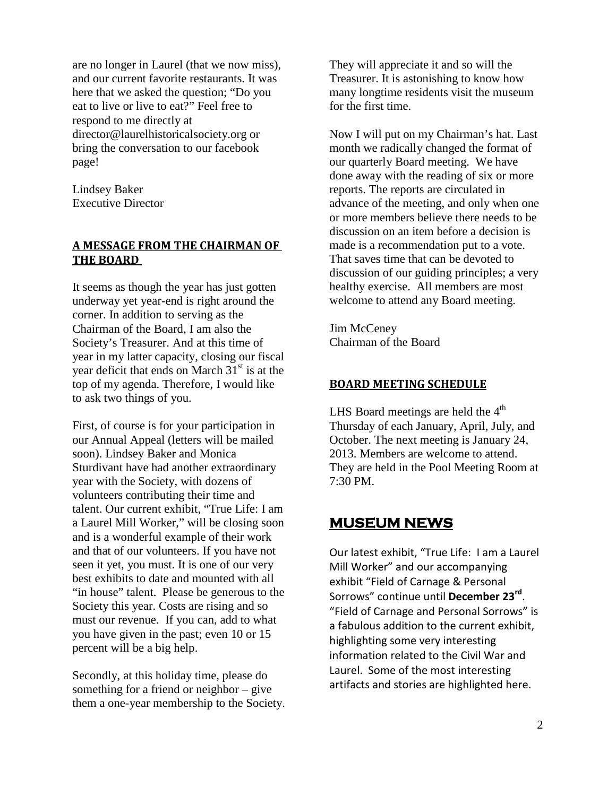are no longer in Laurel (that we now miss), and our current favorite restaurants. It was here that we asked the question; "Do you eat to live or live to eat?" Feel free to respond to me directly at director@laurelhistoricalsociety.org or bring the conversation to our facebook page!

Lindsey Baker Executive Director

### **A MESSAGE FROM THE CHAIRMAN OF THE BOARD**

It seems as though the year has just gotten underway yet year-end is right around the corner. In addition to serving as the Chairman of the Board, I am also the Society's Treasurer. And at this time of year in my latter capacity, closing our fiscal year deficit that ends on March  $31<sup>st</sup>$  is at the top of my agenda. Therefore, I would like to ask two things of you.

First, of course is for your participation in our Annual Appeal (letters will be mailed soon). Lindsey Baker and Monica Sturdivant have had another extraordinary year with the Society, with dozens of volunteers contributing their time and talent. Our current exhibit, "True Life: I am a Laurel Mill Worker," will be closing soon and is a wonderful example of their work and that of our volunteers. If you have not seen it yet, you must. It is one of our very best exhibits to date and mounted with all "in house" talent. Please be generous to the Society this year. Costs are rising and so must our revenue. If you can, add to what you have given in the past; even 10 or 15 percent will be a big help.

Secondly, at this holiday time, please do something for a friend or neighbor – give them a one-year membership to the Society.

They will appreciate it and so will the Treasurer. It is astonishing to know how many longtime residents visit the museum for the first time.

Now I will put on my Chairman's hat. Last month we radically changed the format of our quarterly Board meeting. We have done away with the reading of six or more reports. The reports are circulated in advance of the meeting, and only when one or more members believe there needs to be discussion on an item before a decision is made is a recommendation put to a vote. That saves time that can be devoted to discussion of our guiding principles; a very healthy exercise. All members are most welcome to attend any Board meeting.

Jim McCeney Chairman of the Board

### **BOARD MEETING SCHEDULE**

LHS Board meetings are held the  $4<sup>th</sup>$ Thursday of each January, April, July, and October. The next meeting is January 24, 2013. Members are welcome to attend. They are held in the Pool Meeting Room at 7:30 PM.

### **MUSEUM NEWS**

Our latest exhibit, "True Life: I am a Laurel Mill Worker" and our accompanying exhibit "Field of Carnage & Personal Sorrows" continue until **December 23rd**. "Field of Carnage and Personal Sorrows" is a fabulous addition to the current exhibit, highlighting some very interesting information related to the Civil War and Laurel. Some of the most interesting artifacts and stories are highlighted here.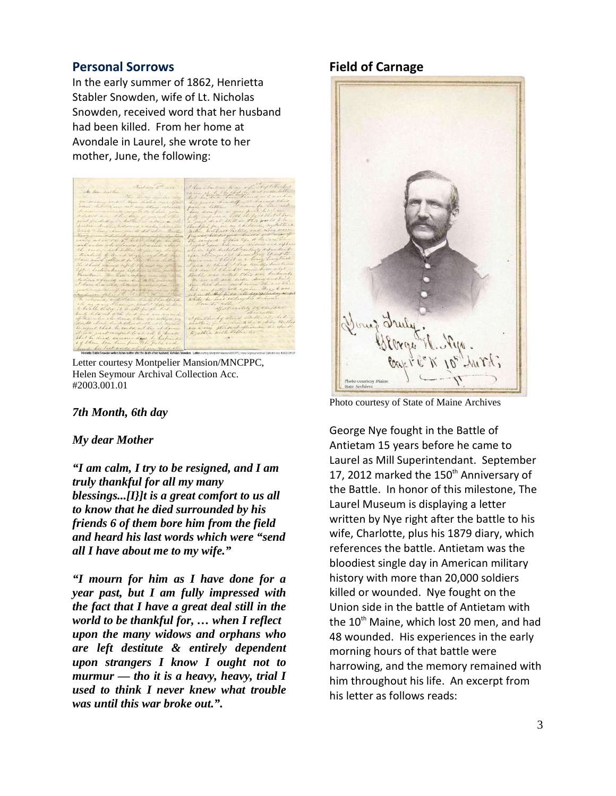### **Personal Sorrows**

In the early summer of 1862, Henrietta Stabler Snowden, wife of Lt. Nicholas Snowden, received word that her husband had been killed. From her home at Avondale in Laurel, she wrote to her mother, June, the following:

Letter courtesy Montpelier Mansion/MNCPPC, Helen Seymour Archival Collection Acc. #2003.001.01

### *7th Month, 6th day*

#### *My dear Mother*

*"I am calm, I try to be resigned, and I am truly thankful for all my many blessings...[I}]t is a great comfort to us all to know that he died surrounded by his friends 6 of them bore him from the field and heard his last words which were "send all I have about me to my wife."*

*"I mourn for him as I have done for a year past, but I am fully impressed with the fact that I have a great deal still in the world to be thankful for, … when I reflect upon the many widows and orphans who are left destitute & entirely dependent upon strangers I know I ought not to murmur — tho it is a heavy, heavy, trial I used to think I never knew what trouble was until this war broke out.".* 

### **Field of Carnage**



Photo courtesy of State of Maine Archives

George Nye fought in the Battle of Antietam 15 years before he came to Laurel as Mill Superintendant. September 17, 2012 marked the 150<sup>th</sup> Anniversary of the Battle. In honor of this milestone, The Laurel Museum is displaying a letter written by Nye right after the battle to his wife, Charlotte, plus his 1879 diary, which references the battle. Antietam was the bloodiest single day in American military history with more than 20,000 soldiers killed or wounded. Nye fought on the Union side in the battle of Antietam with the  $10<sup>th</sup>$  Maine, which lost 20 men, and had 48 wounded. His experiences in the early morning hours of that battle were harrowing, and the memory remained with him throughout his life. An excerpt from his letter as follows reads: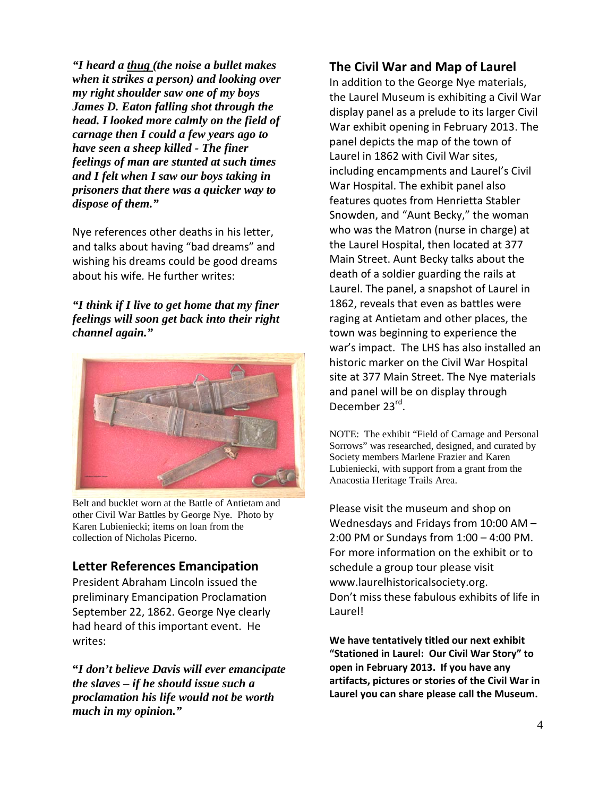*"I heard a thug (the noise a bullet makes when it strikes a person) and looking over my right shoulder saw one of my boys James D. Eaton falling shot through the head. I looked more calmly on the field of carnage then I could a few years ago to have seen a sheep killed - The finer feelings of man are stunted at such times and I felt when I saw our boys taking in prisoners that there was a quicker way to dispose of them."*

Nye references other deaths in his letter, and talks about having "bad dreams" and wishing his dreams could be good dreams about his wife*.* He further writes:

*"I think if I live to get home that my finer feelings will soon get back into their right channel again."*



Belt and bucklet worn at the Battle of Antietam and other Civil War Battles by George Nye. Photo by Karen Lubieniecki; items on loan from the collection of Nicholas Picerno.

### **Letter References Emancipation**

President Abraham Lincoln issued the preliminary Emancipation Proclamation September 22, 1862. George Nye clearly had heard of this important event. He writes:

**"***I don't believe Davis will ever emancipate the slaves – if he should issue such a proclamation his life would not be worth much in my opinion."*

### **The Civil War and Map of Laurel**

In addition to the George Nye materials, the Laurel Museum is exhibiting a Civil War display panel as a prelude to its larger Civil War exhibit opening in February 2013. The panel depicts the map of the town of Laurel in 1862 with Civil War sites, including encampments and Laurel's Civil War Hospital. The exhibit panel also features quotes from Henrietta Stabler Snowden, and "Aunt Becky," the woman who was the Matron (nurse in charge) at the Laurel Hospital, then located at 377 Main Street. Aunt Becky talks about the death of a soldier guarding the rails at Laurel. The panel, a snapshot of Laurel in 1862, reveals that even as battles were raging at Antietam and other places, the town was beginning to experience the war's impact. The LHS has also installed an historic marker on the Civil War Hospital site at 377 Main Street. The Nye materials and panel will be on display through December 23rd.

NOTE: The exhibit "Field of Carnage and Personal Sorrows" was researched, designed, and curated by Society members Marlene Frazier and Karen Lubieniecki, with support from a grant from the Anacostia Heritage Trails Area.

Please visit the museum and shop on Wednesdays and Fridays from 10:00 AM – 2:00 PM or Sundays from 1:00 – 4:00 PM. For more information on the exhibit or to schedule a group tour please visit www.laurelhistoricalsociety.org. Don't miss these fabulous exhibits of life in Laurel!

**We have tentatively titled our next exhibit "Stationed in Laurel: Our Civil War Story" to open in February 2013. If you have any artifacts, pictures or stories of the Civil War in Laurel you can share please call the Museum.**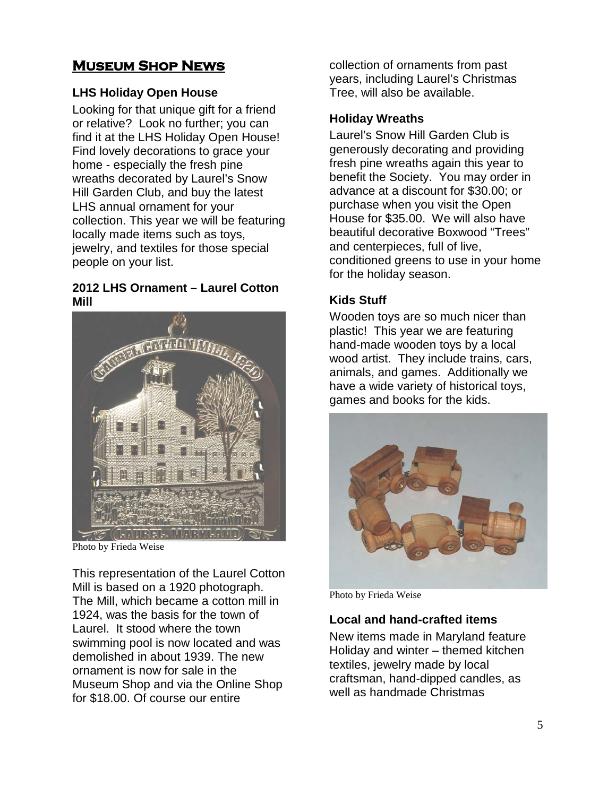## **Museum Shop News**

### **LHS Holiday Open House**

Looking for that unique gift for a friend or relative? Look no further; you can find it at the LHS Holiday Open House! Find lovely decorations to grace your home - especially the fresh pine wreaths decorated by Laurel's Snow Hill Garden Club, and buy the latest LHS annual ornament for your collection. This year we will be featuring locally made items such as toys, jewelry, and textiles for those special people on your list.

### **2012 LHS Ornament – Laurel Cotton Mill**



Photo by Frieda Weise

This representation of the Laurel Cotton Mill is based on a 1920 photograph. The Mill, which became a cotton mill in 1924, was the basis for the town of Laurel. It stood where the town swimming pool is now located and was demolished in about 1939. The new ornament is now for sale in the Museum Shop and via the Online Shop for \$18.00. Of course our entire

collection of ornaments from past years, including Laurel's Christmas Tree, will also be available.

### **Holiday Wreaths**

Laurel's Snow Hill Garden Club is generously decorating and providing fresh pine wreaths again this year to benefit the Society. You may order in advance at a discount for \$30.00; or purchase when you visit the Open House for \$35.00. We will also have beautiful decorative Boxwood "Trees" and centerpieces, full of live, conditioned greens to use in your home for the holiday season.

### **Kids Stuff**

Wooden toys are so much nicer than plastic! This year we are featuring hand-made wooden toys by a local wood artist. They include trains, cars, animals, and games. Additionally we have a wide variety of historical toys, games and books for the kids.



Photo by Frieda Weise

### **Local and hand-crafted items**

New items made in Maryland feature Holiday and winter – themed kitchen textiles, jewelry made by local craftsman, hand-dipped candles, as well as handmade Christmas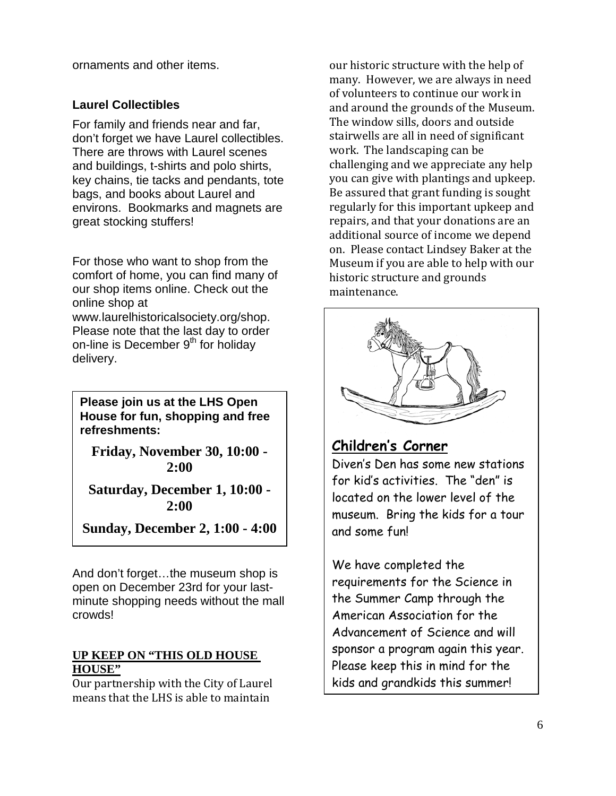ornaments and other items.

### **Laurel Collectibles**

For family and friends near and far, don't forget we have Laurel collectibles. There are throws with Laurel scenes and buildings, t-shirts and polo shirts, key chains, tie tacks and pendants, tote bags, and books about Laurel and environs. Bookmarks and magnets are great stocking stuffers!

For those who want to shop from the comfort of home, you can find many of our shop items online. Check out the online shop at www.laurelhistoricalsociety.org/shop. Please note that the last day to order on-line is December  $9<sup>th</sup>$  for holiday delivery.

**Please join us at the LHS Open House for fun, shopping and free refreshments:**

**Friday, November 30, 10:00 - 2:00**

**Saturday, December 1, 10:00 - 2:00** 

**Sunday, December 2, 1:00 - 4:00** 

And don't forget…the museum shop is open on December 23rd for your lastminute shopping needs without the mall crowds!

### **UP KEEP ON "THIS OLD HOUSE HOUSE"**

Our partnership with the City of Laurel means that the LHS is able to maintain

our historic structure with the help of many. However, we are always in need of volunteers to continue our work in and around the grounds of the Museum. The window sills, doors and outside stairwells are all in need of significant work. The landscaping can be challenging and we appreciate any help you can give with plantings and upkeep. Be assured that grant funding is sought regularly for this important upkeep and repairs, and that your donations are an additional source of income we depend on. Please contact Lindsey Baker at the Museum if you are able to help with our historic structure and grounds maintenance.



# **Children's Corner**

Diven's Den has some new stations for kid's activities. The "den" is located on the lower level of the museum. Bring the kids for a tour and some fun!

We have completed the requirements for the Science in the Summer Camp through the American Association for the Advancement of Science and will sponsor a program again this year. Please keep this in mind for the kids and grandkids this summer!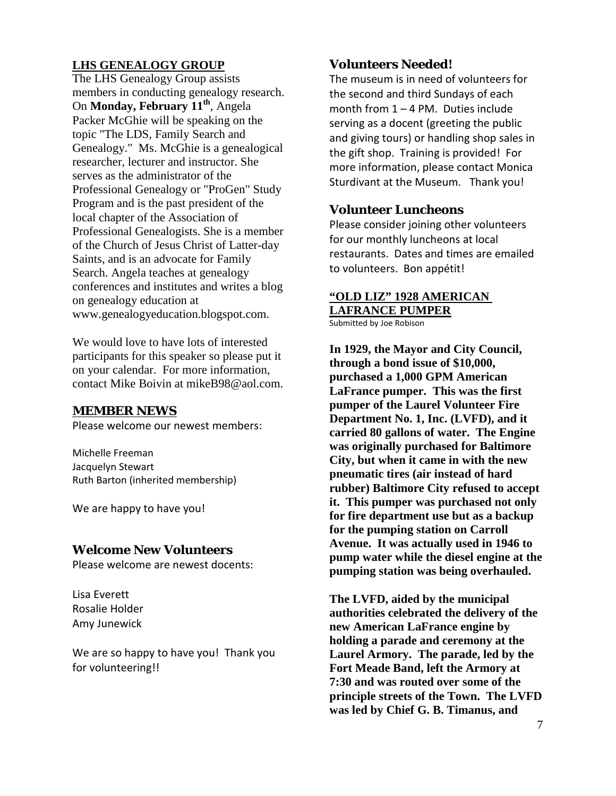### **LHS GENEALOGY GROUP**

The LHS Genealogy Group assists members in conducting genealogy research. On **Monday, February 11<sup>th</sup>**, Angela Packer McGhie will be speaking on the topic "The LDS, Family Search and Genealogy." Ms. McGhie is a genealogical researcher, lecturer and instructor. She serves as the administrator of the Professional Genealogy or "ProGen" Study Program and is the past president of the local chapter of the Association of Professional Genealogists. She is a member of the Church of Jesus Christ of Latter-day Saints, and is an advocate for Family Search. Angela teaches at genealogy conferences and institutes and writes a blog on genealogy education at www.genealogyeducation.blogspot.com.

We would love to have lots of interested participants for this speaker so please put it on your calendar. For more information, contact Mike Boivin at mikeB98@aol.com.

### **MEMBER NEWS**

Please welcome our newest members:

Michelle Freeman Jacquelyn Stewart Ruth Barton (inherited membership)

We are happy to have you!

### **Welcome New Volunteers**

Please welcome are newest docents:

Lisa Everett Rosalie Holder Amy Junewick

We are so happy to have you! Thank you for volunteering!!

### **Volunteers Needed!**

The museum is in need of volunteers for the second and third Sundays of each month from 1 – 4 PM. Duties include serving as a docent (greeting the public and giving tours) or handling shop sales in the gift shop. Training is provided! For more information, please contact Monica Sturdivant at the Museum. Thank you!

### **Volunteer Luncheons**

Please consider joining other volunteers for our monthly luncheons at local restaurants. Dates and times are emailed to volunteers. Bon appétit!

### **"OLD LIZ" 1928 AMERICAN LAFRANCE PUMPER**

Submitted by Joe Robison

**In 1929, the Mayor and City Council, through a bond issue of \$10,000, purchased a 1,000 GPM American LaFrance pumper. This was the first pumper of the Laurel Volunteer Fire Department No. 1, Inc. (LVFD), and it carried 80 gallons of water. The Engine was originally purchased for Baltimore City, but when it came in with the new pneumatic tires (air instead of hard rubber) Baltimore City refused to accept it. This pumper was purchased not only for fire department use but as a backup for the pumping station on Carroll Avenue. It was actually used in 1946 to pump water while the diesel engine at the pumping station was being overhauled.**

**The LVFD, aided by the municipal authorities celebrated the delivery of the new American LaFrance engine by holding a parade and ceremony at the Laurel Armory. The parade, led by the Fort Meade Band, left the Armory at 7:30 and was routed over some of the principle streets of the Town. The LVFD was led by Chief G. B. Timanus, and**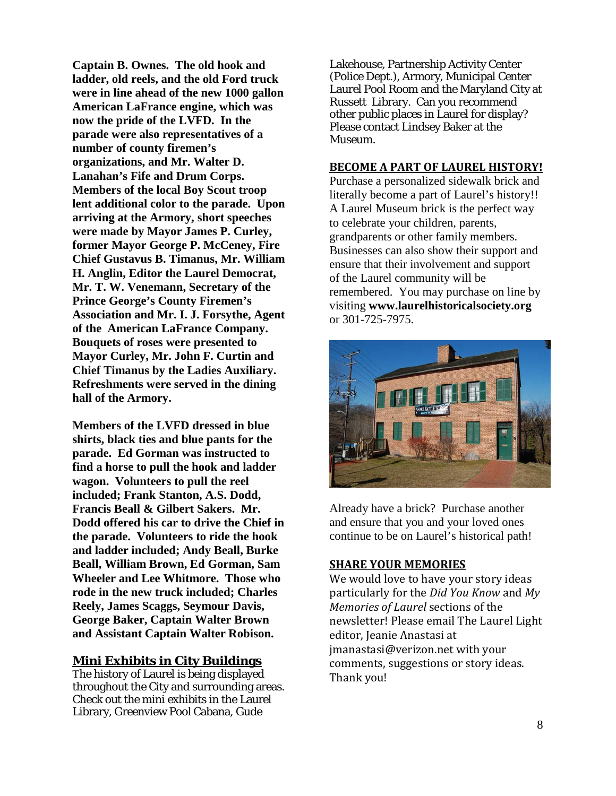**Captain B. Ownes. The old hook and ladder, old reels, and the old Ford truck were in line ahead of the new 1000 gallon American LaFrance engine, which was now the pride of the LVFD. In the parade were also representatives of a number of county firemen's organizations, and Mr. Walter D. Lanahan's Fife and Drum Corps. Members of the local Boy Scout troop lent additional color to the parade. Upon arriving at the Armory, short speeches were made by Mayor James P. Curley, former Mayor George P. McCeney, Fire Chief Gustavus B. Timanus, Mr. William H. Anglin, Editor the Laurel Democrat, Mr. T. W. Venemann, Secretary of the Prince George's County Firemen's Association and Mr. I. J. Forsythe, Agent of the American LaFrance Company. Bouquets of roses were presented to Mayor Curley, Mr. John F. Curtin and Chief Timanus by the Ladies Auxiliary. Refreshments were served in the dining hall of the Armory.**

**Members of the LVFD dressed in blue shirts, black ties and blue pants for the parade. Ed Gorman was instructed to find a horse to pull the hook and ladder wagon. Volunteers to pull the reel included; Frank Stanton, A.S. Dodd, Francis Beall & Gilbert Sakers. Mr. Dodd offered his car to drive the Chief in the parade. Volunteers to ride the hook and ladder included; Andy Beall, Burke Beall, William Brown, Ed Gorman, Sam Wheeler and Lee Whitmore. Those who rode in the new truck included; Charles Reely, James Scaggs, Seymour Davis, George Baker, Captain Walter Brown and Assistant Captain Walter Robison.**

### **Mini Exhibits in City Buildings**

The history of Laurel is being displayed throughout the City and surrounding areas. Check out the mini exhibits in the Laurel Library, Greenview Pool Cabana, Gude

Lakehouse, Partnership Activity Center (Police Dept.), Armory, Municipal Center Laurel Pool Room and the Maryland City at Russett Library. Can you recommend other public places in Laurel for display? Please contact Lindsey Baker at the Museum.

### **BECOME A PART OF LAUREL HISTORY!**

Purchase a personalized sidewalk brick and literally become a part of Laurel's history!! A Laurel Museum brick is the perfect way to celebrate your children, parents, grandparents or other family members. Businesses can also show their support and ensure that their involvement and support of the Laurel community will be remembered. You may purchase on line by visiting **www.laurelhistoricalsociety.org** or 301-725-7975.



Already have a brick? Purchase another and ensure that you and your loved ones continue to be on Laurel's historical path!

### **SHARE YOUR MEMORIES**

We would love to have your story ideas particularly for the *Did You Know* and *My Memories of Laurel* sections of the newsletter! Please email The Laurel Light editor, Jeanie Anastasi at jmanastasi@verizon.net with your comments, suggestions or story ideas. Thank you!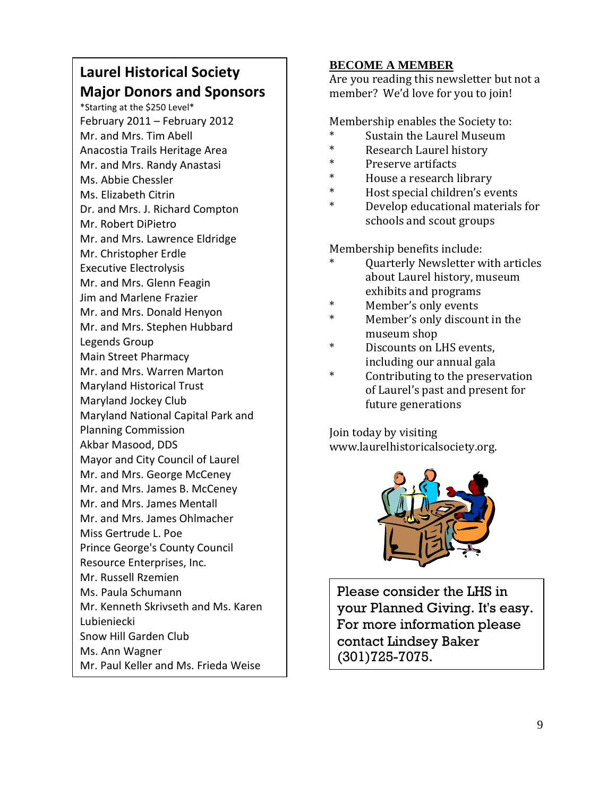# **Laurel Historical Society Major Donors and Sponsors**

\*Starting at the \$250 Level\* February 2011 – February 2012 Mr. and Mrs. Tim Abell Anacostia Trails Heritage Area Mr. and Mrs. Randy Anastasi Ms. Abbie Chessler Ms. Elizabeth Citrin Dr. and Mrs. J. Richard Compton Mr. Robert DiPietro Mr. and Mrs. Lawrence Eldridge Mr. Christopher Erdle Executive Electrolysis Mr. and Mrs. Glenn Feagin Jim and Marlene Frazier Mr. and Mrs. Donald Henyon Mr. and Mrs. Stephen Hubbard Legends Group Main Street Pharmacy Mr. and Mrs. Warren Marton Maryland Historical Trust Maryland Jockey Club Maryland National Capital Park and Planning Commission Akbar Masood, DDS Mayor and City Council of Laurel Mr. and Mrs. George McCeney Mr. and Mrs. James B. McCeney Mr. and Mrs. James Mentall Mr. and Mrs. James Ohlmacher Miss Gertrude L. Poe Prince George's County Council Resource Enterprises, Inc. Mr. Russell Rzemien Ms. Paula Schumann Mr. Kenneth Skrivseth and Ms. Karen Lubieniecki Snow Hill Garden Club Ms. Ann Wagner Mr. Paul Keller and Ms. Frieda Weise

### **BECOME A MEMBER**

Are you reading this newsletter but not a member? We'd love for you to join!

Membership enables the Society to:

- \* Sustain the Laurel Museum
- Research Laurel history
- \* Preserve artifacts
- \* House a research library<br>\* Host angoinl shildnes's an
- Host special children's events
- Develop educational materials for schools and scout groups

Membership benefits include:

- Quarterly Newsletter with articles about Laurel history, museum exhibits and programs
- \* Member's only events
- Member's only discount in the museum shop
- \* Discounts on LHS events, including our annual gala
- Contributing to the preservation of Laurel's past and present for future generations

Join today by visiting www.laurelhistoricalsociety.org.



Please consider the LHS in your Planned Giving. It's easy. For more information please contact Lindsey Baker (301)725-7075.